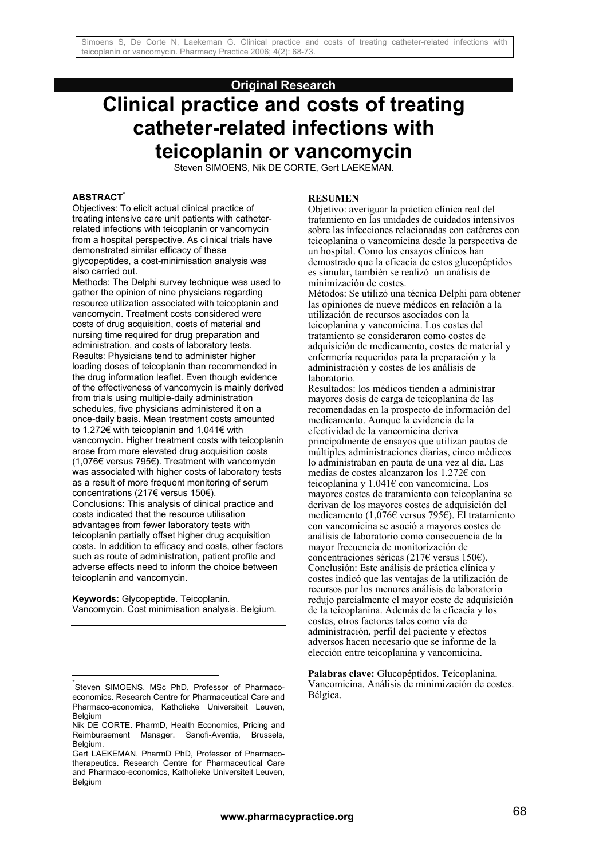## **Original Research**

# **Clinical practice and costs of treating catheter-related infections with teicoplanin or vancomycin**

Steven SIMOENS, Nik DE CORTE, Gert LAEKEMAN.

## **ABSTRACT\***

Objectives: To elicit actual clinical practice of treating intensive care unit patients with catheterrelated infections with teicoplanin or vancomycin from a hospital perspective. As clinical trials have demonstrated similar efficacy of these glycopeptides, a cost-minimisation analysis was also carried out.

Methods: The Delphi survey technique was used to gather the opinion of nine physicians regarding resource utilization associated with teicoplanin and vancomycin. Treatment costs considered were costs of drug acquisition, costs of material and nursing time required for drug preparation and administration, and costs of laboratory tests. Results: Physicians tend to administer higher loading doses of teicoplanin than recommended in the drug information leaflet. Even though evidence of the effectiveness of vancomycin is mainly derived from trials using multiple-daily administration schedules, five physicians administered it on a once-daily basis. Mean treatment costs amounted to 1,272€ with teicoplanin and 1,041€ with vancomycin. Higher treatment costs with teicoplanin arose from more elevated drug acquisition costs (1,076€ versus 795€). Treatment with vancomycin was associated with higher costs of laboratory tests as a result of more frequent monitoring of serum concentrations (217€ versus 150€). Conclusions: This analysis of clinical practice and costs indicated that the resource utilisation advantages from fewer laboratory tests with teicoplanin partially offset higher drug acquisition costs. In addition to efficacy and costs, other factors such as route of administration, patient profile and adverse effects need to inform the choice between teicoplanin and vancomycin.

**Keywords:** Glycopeptide. Teicoplanin. Vancomycin. Cost minimisation analysis. Belgium.

l

#### **RESUMEN**

Objetivo: averiguar la práctica clínica real del tratamiento en las unidades de cuidados intensivos sobre las infecciones relacionadas con catéteres con teicoplanina o vancomicina desde la perspectiva de un hospital. Como los ensayos clínicos han demostrado que la eficacia de estos glucopéptidos es simular, también se realizó un análisis de minimización de costes.

Métodos: Se utilizó una técnica Delphi para obtener las opiniones de nueve médicos en relación a la utilización de recursos asociados con la teicoplanina y vancomicina. Los costes del tratamiento se consideraron como costes de adquisición de medicamento, costes de material y enfermería requeridos para la preparación y la administración y costes de los análisis de laboratorio.

Resultados: los médicos tienden a administrar mayores dosis de carga de teicoplanina de las recomendadas en la prospecto de información del medicamento. Aunque la evidencia de la efectividad de la vancomicina deriva principalmente de ensayos que utilizan pautas de múltiples administraciones diarias, cinco médicos lo administraban en pauta de una vez al día. Las medias de costes alcanzaron los 1.272€ con teicoplanina y 1.041€ con vancomicina. Los mayores costes de tratamiento con teicoplanina se derivan de los mayores costes de adquisición del medicamento (1,076€ versus 795€). El tratamiento con vancomicina se asoció a mayores costes de análisis de laboratorio como consecuencia de la mayor frecuencia de monitorización de concentraciones séricas (217€ versus 150€). Conclusión: Este análisis de práctica clínica y costes indicó que las ventajas de la utilización de recursos por los menores análisis de laboratorio redujo parcialmente el mayor coste de adquisición de la teicoplanina. Además de la eficacia y los costes, otros factores tales como vía de administración, perfil del paciente y efectos adversos hacen necesario que se informe de la elección entre teicoplanina y vancomicina.

**Palabras clave:** Glucopéptidos. Teicoplanina. Vancomicina. Análisis de minimización de costes. Bélgica.

<sup>\*</sup> Steven SIMOENS. MSc PhD, Professor of Pharmacoeconomics. Research Centre for Pharmaceutical Care and Pharmaco-economics, Katholieke Universiteit Leuven, Belgium

Nik DE CORTE. PharmD, Health Economics, Pricing and Reimbursement Manager. Sanofi-Aventis, Brussels, Belgium.

Gert LAEKEMAN. PharmD PhD, Professor of Pharmacotherapeutics. Research Centre for Pharmaceutical Care and Pharmaco-economics, Katholieke Universiteit Leuven, Belgium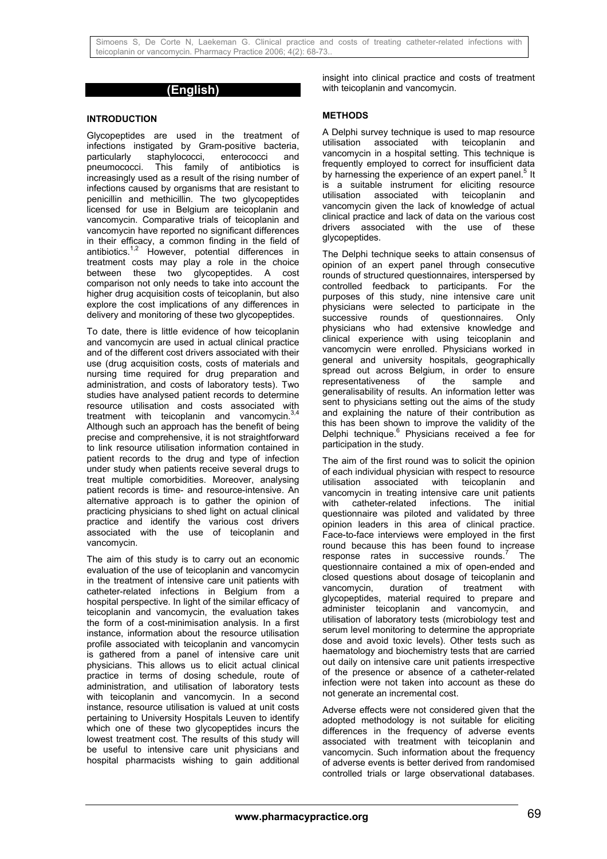## **(English)**

#### **INTRODUCTION**

Glycopeptides are used in the treatment of infections instigated by Gram-positive bacteria, particularly staphylococci, enterococci and<br>pneumococci. This family of antibiotics is This family of antibiotics is increasingly used as a result of the rising number of infections caused by organisms that are resistant to penicillin and methicillin. The two glycopeptides licensed for use in Belgium are teicoplanin and vancomycin. Comparative trials of teicoplanin and vancomycin have reported no significant differences in their efficacy, a common finding in the field of antibiotics.<sup>1,2</sup> However, potential differences in However, potential differences in treatment costs may play a role in the choice between these two glycopeptides. A cost comparison not only needs to take into account the higher drug acquisition costs of teicoplanin, but also explore the cost implications of any differences in delivery and monitoring of these two glycopeptides.

To date, there is little evidence of how teicoplanin and vancomycin are used in actual clinical practice and of the different cost drivers associated with their use (drug acquisition costs, costs of materials and nursing time required for drug preparation and administration, and costs of laboratory tests). Two studies have analysed patient records to determine resource utilisation and costs associated with treatment with teicoplanin and vancomycin. $3,4$ Although such an approach has the benefit of being precise and comprehensive, it is not straightforward to link resource utilisation information contained in patient records to the drug and type of infection under study when patients receive several drugs to treat multiple comorbidities. Moreover, analysing patient records is time- and resource-intensive. An alternative approach is to gather the opinion of practicing physicians to shed light on actual clinical practice and identify the various cost drivers associated with the use of teicoplanin and vancomycin.

The aim of this study is to carry out an economic evaluation of the use of teicoplanin and vancomycin in the treatment of intensive care unit patients with catheter-related infections in Belgium from a hospital perspective. In light of the similar efficacy of teicoplanin and vancomycin, the evaluation takes the form of a cost-minimisation analysis. In a first instance, information about the resource utilisation profile associated with teicoplanin and vancomycin is gathered from a panel of intensive care unit physicians. This allows us to elicit actual clinical practice in terms of dosing schedule, route of administration, and utilisation of laboratory tests with teicoplanin and vancomycin. In a second instance, resource utilisation is valued at unit costs pertaining to University Hospitals Leuven to identify which one of these two glycopeptides incurs the lowest treatment cost. The results of this study will be useful to intensive care unit physicians and hospital pharmacists wishing to gain additional

insight into clinical practice and costs of treatment with teicoplanin and vancomycin.

#### **METHODS**

A Delphi survey technique is used to map resource utilisation associated with teicoplanin and vancomycin in a hospital setting. This technique is frequently employed to correct for insufficient data by harnessing the experience of an expert panel.<sup>5</sup> It is a suitable instrument for eliciting resource<br>utilisation associated with teicoplanin and associated with teicoplanin and vancomycin given the lack of knowledge of actual clinical practice and lack of data on the various cost drivers associated with the use of these glycopeptides.

The Delphi technique seeks to attain consensus of opinion of an expert panel through consecutive rounds of structured questionnaires, interspersed by controlled feedback to participants. For the purposes of this study, nine intensive care unit physicians were selected to participate in the successive rounds of questionnaires. Only physicians who had extensive knowledge and clinical experience with using teicoplanin and vancomycin were enrolled. Physicians worked in general and university hospitals, geographically spread out across Belgium, in order to ensure representativeness of the sample and generalisability of results. An information letter was sent to physicians setting out the aims of the study and explaining the nature of their contribution as this has been shown to improve the validity of the Delphi technique.<sup>6</sup> Physicians received a fee for participation in the study.

The aim of the first round was to solicit the opinion of each individual physician with respect to resource utilisation associated with teicoplanin and vancomycin in treating intensive care unit patients with catheter-related infections. The initial questionnaire was piloted and validated by three opinion leaders in this area of clinical practice. Face-to-face interviews were employed in the first round because this has been found to increase response rates in successive rounds. $<sup>7</sup>$ </sup> The questionnaire contained a mix of open-ended and closed questions about dosage of teicoplanin and vancomycin, duration of treatment with glycopeptides, material required to prepare and administer teicoplanin and vancomycin, and utilisation of laboratory tests (microbiology test and serum level monitoring to determine the appropriate dose and avoid toxic levels). Other tests such as haematology and biochemistry tests that are carried out daily on intensive care unit patients irrespective of the presence or absence of a catheter-related infection were not taken into account as these do not generate an incremental cost.

Adverse effects were not considered given that the adopted methodology is not suitable for eliciting differences in the frequency of adverse events associated with treatment with teicoplanin and vancomycin. Such information about the frequency of adverse events is better derived from randomised controlled trials or large observational databases.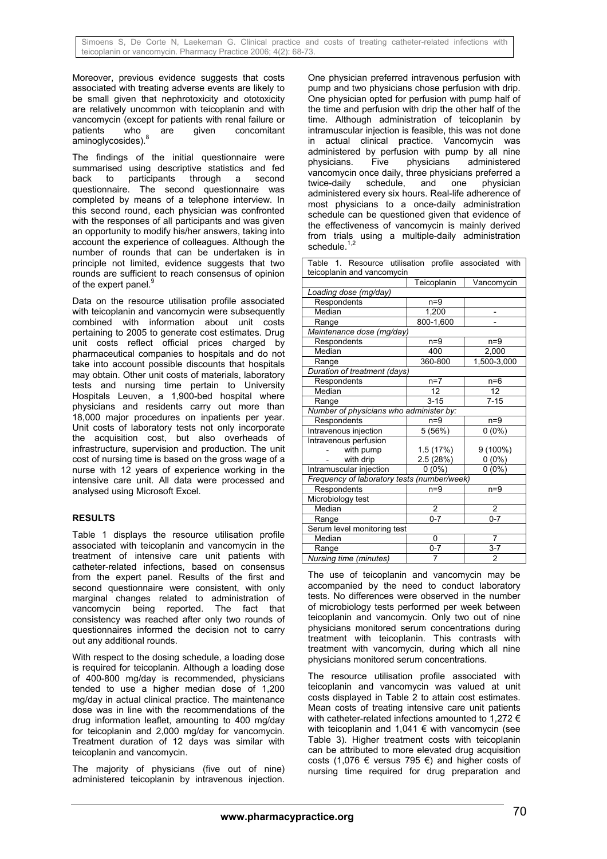Moreover, previous evidence suggests that costs associated with treating adverse events are likely to be small given that nephrotoxicity and ototoxicity are relatively uncommon with teicoplanin and with vancomycin (except for patients with renal failure or patients who are given concomitant .<br>aminoglycosides).<sup>8</sup>

The findings of the initial questionnaire were summarised using descriptive statistics and fed back to participants through a second questionnaire. The second questionnaire was completed by means of a telephone interview. In this second round, each physician was confronted with the responses of all participants and was given an opportunity to modify his/her answers, taking into account the experience of colleagues. Although the number of rounds that can be undertaken is in principle not limited, evidence suggests that two rounds are sufficient to reach consensus of opinion of the expert panel.<sup>9</sup>

Data on the resource utilisation profile associated with teicoplanin and vancomycin were subsequently combined with information about unit costs pertaining to 2005 to generate cost estimates. Drug unit costs reflect official prices charged by pharmaceutical companies to hospitals and do not take into account possible discounts that hospitals may obtain. Other unit costs of materials, laboratory tests and nursing time pertain to University Hospitals Leuven, a 1,900-bed hospital where physicians and residents carry out more than 18,000 major procedures on inpatients per year. Unit costs of laboratory tests not only incorporate the acquisition cost, but also overheads of infrastructure, supervision and production. The unit cost of nursing time is based on the gross wage of a nurse with 12 years of experience working in the intensive care unit. All data were processed and analysed using Microsoft Excel.

## **RESULTS**

Table 1 displays the resource utilisation profile associated with teicoplanin and vancomycin in the treatment of intensive care unit patients with catheter-related infections, based on consensus from the expert panel. Results of the first and second questionnaire were consistent, with only marginal changes related to administration of vancomycin being reported. The fact that consistency was reached after only two rounds of questionnaires informed the decision not to carry out any additional rounds.

With respect to the dosing schedule, a loading dose is required for teicoplanin. Although a loading dose of 400-800 mg/day is recommended, physicians tended to use a higher median dose of 1,200 mg/day in actual clinical practice. The maintenance dose was in line with the recommendations of the drug information leaflet, amounting to 400 mg/day for teicoplanin and 2,000 mg/day for vancomycin. Treatment duration of 12 days was similar with teicoplanin and vancomycin.

The majority of physicians (five out of nine) administered teicoplanin by intravenous injection.

One physician preferred intravenous perfusion with pump and two physicians chose perfusion with drip. One physician opted for perfusion with pump half of the time and perfusion with drip the other half of the time. Although administration of teicoplanin by intramuscular injection is feasible, this was not done in actual clinical practice. Vancomycin was administered by perfusion with pump by all nine physicians. Five physicians administered vancomycin once daily, three physicians preferred a<br>twice-daily schedule, and one physician twice-daily schedule, and one physician administered every six hours. Real-life adherence of most physicians to a once-daily administration schedule can be questioned given that evidence of the effectiveness of vancomycin is mainly derived from trials using a multiple-daily administration schedule.

| 1. Resource utilisation profile associated with<br>Table |                    |                |  |
|----------------------------------------------------------|--------------------|----------------|--|
| teicoplanin and vancomycin                               |                    |                |  |
|                                                          | Teicoplanin        | Vancomycin     |  |
| Loading dose (mg/day)                                    |                    |                |  |
| Respondents                                              | n=9                |                |  |
| Median                                                   | 1,200              |                |  |
| Range                                                    | 800-1,600          |                |  |
| Maintenance dose (mg/day)                                |                    |                |  |
| Respondents                                              | $n=9$              | $n=9$          |  |
| Median                                                   | 400                | 2,000          |  |
| Range                                                    | 360-800            | 1,500-3,000    |  |
| Duration of treatment (days)                             |                    |                |  |
| Respondents                                              | $n=7$              | $n=6$          |  |
| Median                                                   | 12                 | 12             |  |
| Range                                                    | $3 - 15$           | $7 - 15$       |  |
| Number of physicians who administer by:                  |                    |                |  |
| Respondents                                              | $n=9$              | $n=9$          |  |
| Intravenous injection                                    | 5(56%)             | $0(0\%)$       |  |
| Intravenous perfusion                                    |                    |                |  |
| with pump                                                | 1.5(17%)           | 9 (100%)       |  |
| with drip                                                | 2.5(28%)           | $0(0\%)$       |  |
| Intramuscular injection                                  | $0(0\%)$           | $0(0\%)$       |  |
| Frequency of laboratory tests (number/week)              |                    |                |  |
| Respondents                                              | $n=9$              | $n=9$          |  |
| Microbiology test                                        |                    |                |  |
| Median                                                   | $\overline{2}$     | 2              |  |
| Range                                                    | $0 - 7$<br>$0 - 7$ |                |  |
| Serum level monitoring test                              |                    |                |  |
| Median                                                   | 0                  | 7              |  |
| Range                                                    | $0 - 7$            | $3 - 7$        |  |
| Nursing time (minutes)                                   | 7                  | $\overline{2}$ |  |

The use of teicoplanin and vancomycin may be accompanied by the need to conduct laboratory tests. No differences were observed in the number of microbiology tests performed per week between teicoplanin and vancomycin. Only two out of nine physicians monitored serum concentrations during treatment with teicoplanin. This contrasts with treatment with vancomycin, during which all nine physicians monitored serum concentrations.

The resource utilisation profile associated with teicoplanin and vancomycin was valued at unit costs displayed in Table 2 to attain cost estimates. Mean costs of treating intensive care unit patients with catheter-related infections amounted to 1,272 € with teicoplanin and 1,041  $\epsilon$  with vancomycin (see Table 3). Higher treatment costs with teicoplanin can be attributed to more elevated drug acquisition costs (1,076 € versus 795 €) and higher costs of nursing time required for drug preparation and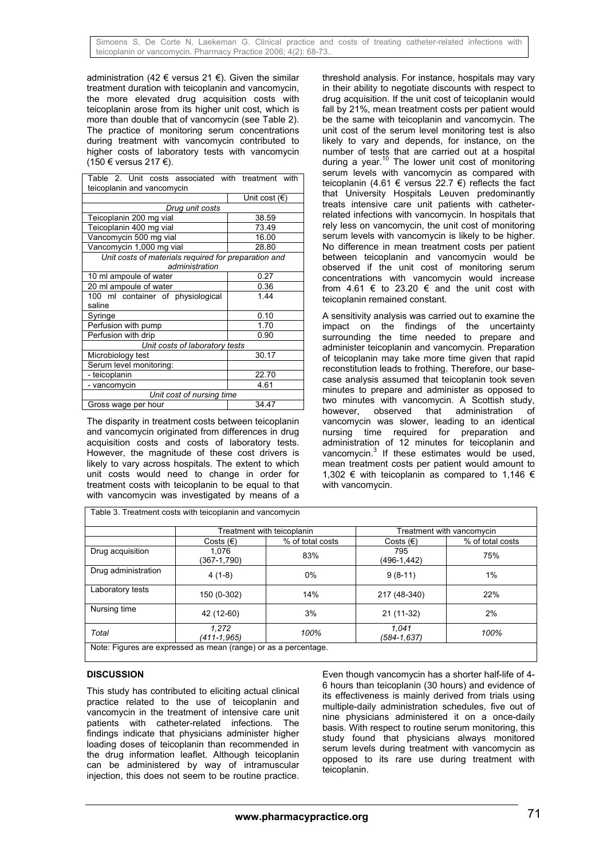administration (42  $\epsilon$  versus 21  $\epsilon$ ). Given the similar treatment duration with teicoplanin and vancomycin, the more elevated drug acquisition costs with teicoplanin arose from its higher unit cost, which is more than double that of vancomycin (see Table 2). The practice of monitoring serum concentrations during treatment with vancomycin contributed to higher costs of laboratory tests with vancomycin (150 € versus 217 €).

| Table 2. Unit costs associated with treatment with                     |                        |  |  |  |  |
|------------------------------------------------------------------------|------------------------|--|--|--|--|
| teicoplanin and vancomycin                                             |                        |  |  |  |  |
|                                                                        | Unit cost $(\epsilon)$ |  |  |  |  |
| Drug unit costs                                                        |                        |  |  |  |  |
| Teicoplanin 200 mg vial                                                | 38.59                  |  |  |  |  |
| Teicoplanin 400 mg vial                                                | 73.49                  |  |  |  |  |
| Vancomycin 500 mg vial                                                 | 16.00                  |  |  |  |  |
| Vancomycin 1,000 mg vial                                               | 28.80                  |  |  |  |  |
| Unit costs of materials required for preparation and<br>administration |                        |  |  |  |  |
| 10 ml ampoule of water                                                 | 0.27                   |  |  |  |  |
|                                                                        |                        |  |  |  |  |
| 20 ml ampoule of water                                                 | 0.36<br>1 4 4          |  |  |  |  |
| 100 ml container of physiological                                      |                        |  |  |  |  |
| saline                                                                 |                        |  |  |  |  |
| Syringe                                                                | 0.10                   |  |  |  |  |
| Perfusion with pump                                                    | 1.70                   |  |  |  |  |
| Perfusion with drip                                                    | 0.90                   |  |  |  |  |
| Unit costs of laboratory tests                                         |                        |  |  |  |  |
| Microbiology test                                                      | 30.17                  |  |  |  |  |
| Serum level monitoring:                                                |                        |  |  |  |  |
| - teicoplanin                                                          | 22.70                  |  |  |  |  |
| - vancomycin                                                           | 4.61                   |  |  |  |  |
| Unit cost of nursing time                                              |                        |  |  |  |  |
| Gross wage per hour                                                    | 34.47                  |  |  |  |  |

The disparity in treatment costs between teicoplanin and vancomycin originated from differences in drug acquisition costs and costs of laboratory tests. However, the magnitude of these cost drivers is likely to vary across hospitals. The extent to which unit costs would need to change in order for treatment costs with teicoplanin to be equal to that with vancomycin was investigated by means of a

Table 3. Treatment costs with teicoplanin and vancomycin

threshold analysis. For instance, hospitals may vary in their ability to negotiate discounts with respect to drug acquisition. If the unit cost of teicoplanin would fall by 21%, mean treatment costs per patient would be the same with teicoplanin and vancomycin. The unit cost of the serum level monitoring test is also likely to vary and depends, for instance, on the number of tests that are carried out at a hospital during a year.<sup>10</sup> The lower unit cost of monitoring serum levels with vancomycin as compared with teicoplanin (4.61 € versus 22.7 €) reflects the fact that University Hospitals Leuven predominantly treats intensive care unit patients with catheterrelated infections with vancomycin. In hospitals that rely less on vancomycin, the unit cost of monitoring serum levels with vancomycin is likely to be higher. No difference in mean treatment costs per patient between teicoplanin and vancomycin would be observed if the unit cost of monitoring serum concentrations with vancomycin would increase from 4.61  $\epsilon$  to 23.20  $\epsilon$  and the unit cost with teicoplanin remained constant.

A sensitivity analysis was carried out to examine the impact on the findings of the uncertainty surrounding the time needed to prepare and administer teicoplanin and vancomycin. Preparation of teicoplanin may take more time given that rapid reconstitution leads to frothing. Therefore, our basecase analysis assumed that teicoplanin took seven minutes to prepare and administer as opposed to two minutes with vancomycin. A Scottish study, however, observed that administration of vancomycin was slower, leading to an identical nursing time required for preparation and administration of 12 minutes for teicoplanin and vancomycin. $3$  If these estimates would be used, mean treatment costs per patient would amount to 1,302 € with teicoplanin as compared to 1,146 € with vancomycin.

|                     | Treatment with teicoplanin |                  | Treatment with vancomycin |                  |
|---------------------|----------------------------|------------------|---------------------------|------------------|
|                     | Costs $(\epsilon)$         | % of total costs | Costs $(\epsilon)$        | % of total costs |
| Drug acquisition    | 1.076<br>(367-1,790)       | 83%              | 795<br>(496-1,442)        | 75%              |
| Drug administration | $4(1-8)$                   | 0%               | $9(8-11)$                 | 1%               |
| Laboratory tests    | 150 (0-302)                | 14%              | 217 (48-340)              | 22%              |
| Nursing time        | 42 (12-60)                 | 3%               | 21 (11-32)                | 2%               |
| Total               | 1.272<br>(411-1,965)       | 100%             | 1.041<br>(584-1,637)      | 100%             |

## **DISCUSSION**

This study has contributed to eliciting actual clinical practice related to the use of teicoplanin and vancomycin in the treatment of intensive care unit patients with catheter-related infections. The findings indicate that physicians administer higher loading doses of teicoplanin than recommended in the drug information leaflet. Although teicoplanin can be administered by way of intramuscular injection, this does not seem to be routine practice.

Even though vancomycin has a shorter half-life of 4- 6 hours than teicoplanin (30 hours) and evidence of its effectiveness is mainly derived from trials using multiple-daily administration schedules, five out of nine physicians administered it on a once-daily basis. With respect to routine serum monitoring, this study found that physicians always monitored serum levels during treatment with vancomycin as opposed to its rare use during treatment with teicoplanin.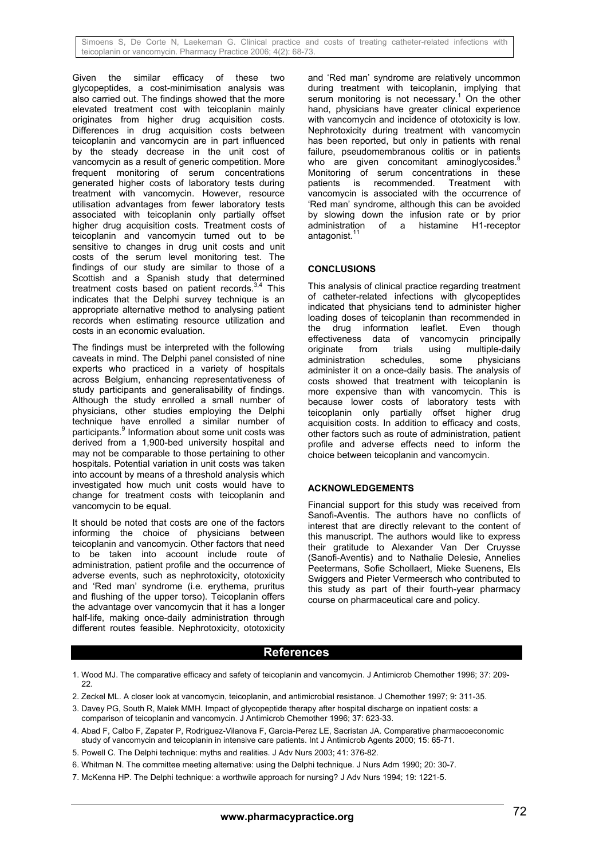Simoens S, De Corte N, Laekeman G. Clinical practice and costs of treating catheter-related infections with teicoplanin or vancomycin. Pharmacy Practice 2006; 4(2): 68-73.

Given the similar efficacy of these two glycopeptides, a cost-minimisation analysis was also carried out. The findings showed that the more elevated treatment cost with teicoplanin mainly originates from higher drug acquisition costs. Differences in drug acquisition costs between teicoplanin and vancomycin are in part influenced by the steady decrease in the unit cost of vancomycin as a result of generic competition. More frequent monitoring of serum concentrations generated higher costs of laboratory tests during treatment with vancomycin. However, resource utilisation advantages from fewer laboratory tests associated with teicoplanin only partially offset higher drug acquisition costs. Treatment costs of teicoplanin and vancomycin turned out to be sensitive to changes in drug unit costs and unit costs of the serum level monitoring test. The findings of our study are similar to those of a Scottish and a Spanish study that determined treatment costs based on patient records. $3,4$  This indicates that the Delphi survey technique is an appropriate alternative method to analysing patient records when estimating resource utilization and costs in an economic evaluation.

The findings must be interpreted with the following caveats in mind. The Delphi panel consisted of nine experts who practiced in a variety of hospitals across Belgium, enhancing representativeness of study participants and generalisability of findings. Although the study enrolled a small number of physicians, other studies employing the Delphi technique have enrolled a similar number of participants.<sup>9</sup> Information about some unit costs was derived from a 1,900-bed university hospital and may not be comparable to those pertaining to other hospitals. Potential variation in unit costs was taken into account by means of a threshold analysis which investigated how much unit costs would have to change for treatment costs with teicoplanin and vancomycin to be equal.

It should be noted that costs are one of the factors informing the choice of physicians between teicoplanin and vancomycin. Other factors that need to be taken into account include route of administration, patient profile and the occurrence of adverse events, such as nephrotoxicity, ototoxicity and 'Red man' syndrome (i.e. erythema, pruritus and flushing of the upper torso). Teicoplanin offers the advantage over vancomycin that it has a longer half-life, making once-daily administration through different routes feasible. Nephrotoxicity, ototoxicity

and 'Red man' syndrome are relatively uncommon during treatment with teicoplanin, implying that serum monitoring is not necessary.<sup>1</sup> On the other hand, physicians have greater clinical experience with vancomycin and incidence of ototoxicity is low. Nephrotoxicity during treatment with vancomycin has been reported, but only in patients with renal failure, pseudomembranous colitis or in patients who are given concomitant aminoglycosides.<sup>8</sup> Monitoring of serum concentrations in these patients is recommended. Treatment with vancomycin is associated with the occurrence of 'Red man' syndrome, although this can be avoided by slowing down the infusion rate or by prior administration of a histamine H1-receptor antagonist.<sup>11</sup>

## **CONCLUSIONS**

This analysis of clinical practice regarding treatment of catheter-related infections with glycopeptides indicated that physicians tend to administer higher loading doses of teicoplanin than recommended in the drug information leaflet. Even though effectiveness data of vancomycin principally originate from trials using multiple-daily administration schedules, some physicians administer it on a once-daily basis. The analysis of costs showed that treatment with teicoplanin is more expensive than with vancomycin. This is because lower costs of laboratory tests with teicoplanin only partially offset higher drug acquisition costs. In addition to efficacy and costs, other factors such as route of administration, patient profile and adverse effects need to inform the choice between teicoplanin and vancomycin.

#### **ACKNOWLEDGEMENTS**

Financial support for this study was received from Sanofi-Aventis. The authors have no conflicts of interest that are directly relevant to the content of this manuscript. The authors would like to express their gratitude to Alexander Van Der Cruysse (Sanofi-Aventis) and to Nathalie Delesie, Annelies Peetermans, Sofie Schollaert, Mieke Suenens, Els Swiggers and Pieter Vermeersch who contributed to this study as part of their fourth-year pharmacy course on pharmaceutical care and policy.

## **References**

- 1. Wood MJ. The comparative efficacy and safety of teicoplanin and vancomycin. J Antimicrob Chemother 1996; 37: 209- 22.
- 2. Zeckel ML. A closer look at vancomycin, teicoplanin, and antimicrobial resistance. J Chemother 1997; 9: 311-35.
- 3. Davey PG, South R, Malek MMH. Impact of glycopeptide therapy after hospital discharge on inpatient costs: a comparison of teicoplanin and vancomycin. J Antimicrob Chemother 1996; 37: 623-33.
- 4. Abad F, Calbo F, Zapater P, Rodriguez-Vilanova F, Garcia-Perez LE, Sacristan JA. Comparative pharmacoeconomic study of vancomycin and teicoplanin in intensive care patients. Int J Antimicrob Agents 2000; 15: 65-71.
- 5. Powell C. The Delphi technique: myths and realities. J Adv Nurs 2003; 41: 376-82.
- 6. Whitman N. The committee meeting alternative: using the Delphi technique. J Nurs Adm 1990; 20: 30-7.
- 7. McKenna HP. The Delphi technique: a worthwile approach for nursing? J Adv Nurs 1994; 19: 1221-5.